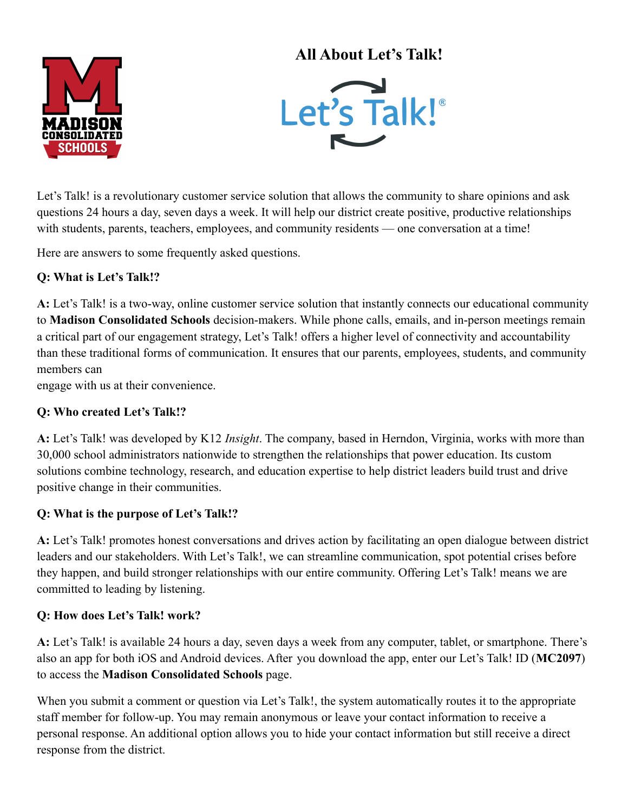

# **All About Let's Talk!**



Let's Talk! is a revolutionary customer service solution that allows the community to share opinions and ask questions 24 hours a day, seven days a week. It will help our district create positive, productive relationships with students, parents, teachers, employees, and community residents — one conversation at a time!

Here are answers to some frequently asked questions.

## **Q: What is Let's Talk!?**

**A:** Let's Talk! is a two-way, online customer service solution that instantly connects our educational community to **Madison Consolidated Schools** decision-makers. While phone calls, emails, and in-person meetings remain a critical part of our engagement strategy, Let's Talk! offers a higher level of connectivity and accountability than these traditional forms of communication. It ensures that our parents, employees, students, and community members can

engage with us at their convenience.

### **Q: Who created Let's Talk!?**

**A:** Let's Talk! was developed by K12 *Insight*. The company, based in Herndon, Virginia, works with more than 30,000 school administrators nationwide to strengthen the relationships that power education. Its custom solutions combine technology, research, and education expertise to help district leaders build trust and drive positive change in their communities.

#### **Q: What is the purpose of Let's Talk!?**

**A:** Let's Talk! promotes honest conversations and drives action by facilitating an open dialogue between district leaders and our stakeholders. With Let's Talk!, we can streamline communication, spot potential crises before they happen, and build stronger relationships with our entire community. Offering Let's Talk! means we are committed to leading by listening.

#### **Q: How does Let's Talk! work?**

**A:** Let's Talk! is available 24 hours a day, seven days a week from any computer, tablet, or smartphone. There's also an app for both iOS and Android devices. After you download the app, enter our Let's Talk! ID (**MC2097**) to access the **Madison Consolidated Schools** page.

When you submit a comment or question via Let's Talk!, the system automatically routes it to the appropriate staff member for follow-up. You may remain anonymous or leave your contact information to receive a personal response. An additional option allows you to hide your contact information but still receive a direct response from the district.